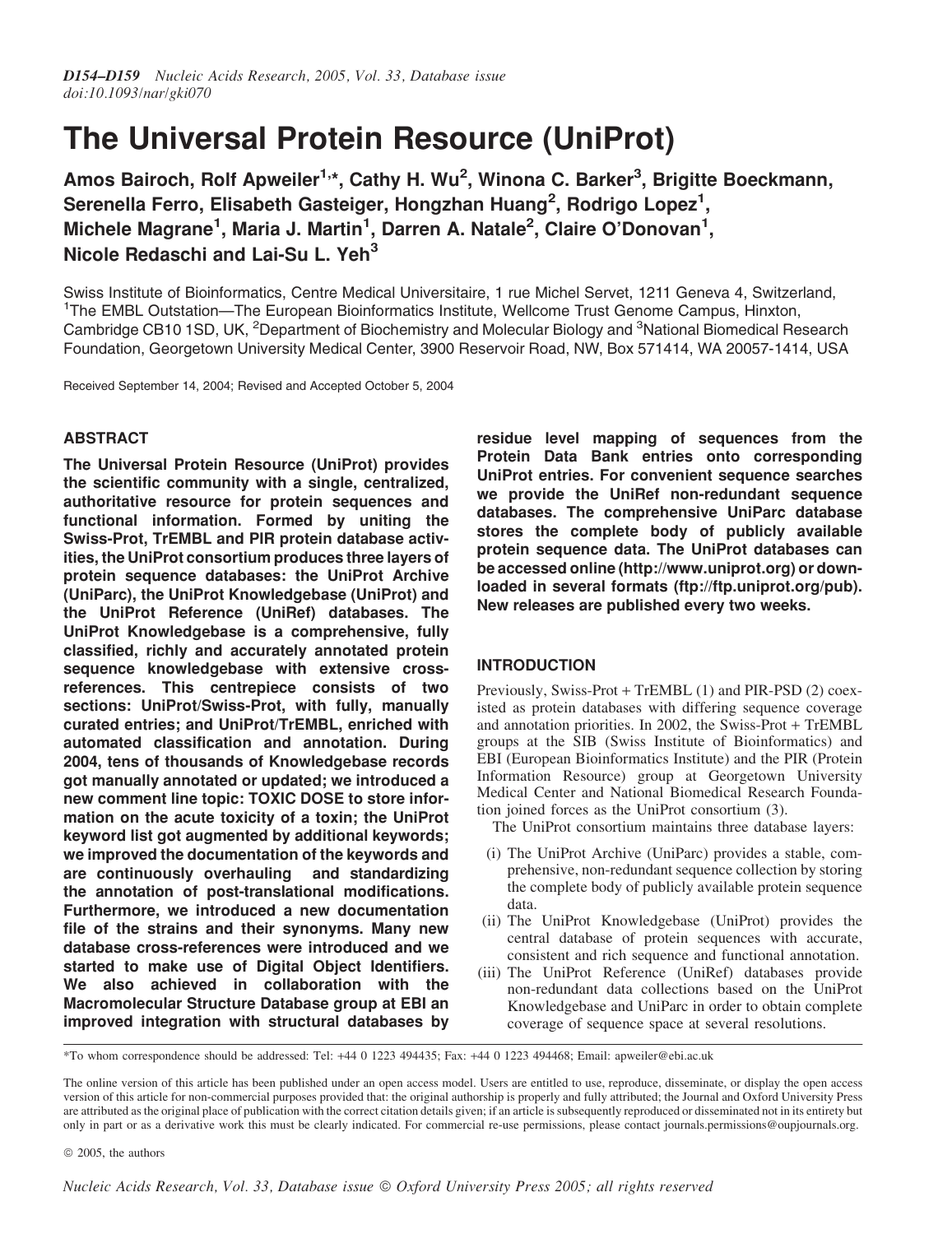# The Universal Protein Resource (UniProt)

Amos Bairoch, Rolf Apweiler<sup>1,\*</sup>, Cathy H. Wu<sup>2</sup>, Winona C. Barker<sup>3</sup>, Brigitte Boeckmann, Serenella Ferro, Elisabeth Gasteiger, Hongzhan Huang $^2$ , Rodrigo Lopez $^1_\cdot$ Michele Magrane<sup>1</sup>, Maria J. Martin<sup>1</sup>, Darren A. Natale<sup>2</sup>, Claire O'Donovan<sup>1</sup>, Nicole Redaschi and Lai-Su L. Yeh<sup>3</sup>

Swiss Institute of Bioinformatics, Centre Medical Universitaire, 1 rue Michel Servet, 1211 Geneva 4, Switzerland, <sup>1</sup>The EMBL Outstation—The European Bioinformatics Institute, Wellcome Trust Genome Campus, Hinxton, Cambridge CB10 1SD, UK, <sup>2</sup>Department of Biochemistry and Molecular Biology and <sup>3</sup>National Biomedical Research Foundation, Georgetown University Medical Center, 3900 Reservoir Road, NW, Box 571414, WA 20057-1414, USA

Received September 14, 2004; Revised and Accepted October 5, 2004

## ABSTRACT

The Universal Protein Resource (UniProt) provides the scientific community with a single, centralized, authoritative resource for protein sequences and functional information. Formed by uniting the Swiss-Prot, TrEMBL and PIR protein database activities, the UniProt consortium produces three layers of protein sequence databases: the UniProt Archive (UniParc), the UniProt Knowledgebase (UniProt) and the UniProt Reference (UniRef) databases. The UniProt Knowledgebase is a comprehensive, fully classified, richly and accurately annotated protein sequence knowledgebase with extensive crossreferences. This centrepiece consists of two sections: UniProt/Swiss-Prot, with fully, manually curated entries; and UniProt/TrEMBL, enriched with automated classification and annotation. During 2004, tens of thousands of Knowledgebase records got manually annotated or updated; we introduced a new comment line topic: TOXIC DOSE to store information on the acute toxicity of a toxin; the UniProt keyword list got augmented by additional keywords; we improved the documentation of the keywords and are continuously overhauling and standardizing the annotation of post-translational modifications. Furthermore, we introduced a new documentation file of the strains and their synonyms. Many new database cross-references were introduced and we started to make use of Digital Object Identifiers. We also achieved in collaboration with the Macromolecular Structure Database group at EBI an improved integration with structural databases by

residue level mapping of sequences from the Protein Data Bank entries onto corresponding UniProt entries. For convenient sequence searches we provide the UniRef non-redundant sequence databases. The comprehensive UniParc database stores the complete body of publicly available protein sequence data. The UniProt databases can be accessed online [\(http://www.uniprot.org\)](http://www.uniprot.org) or downloaded in several formats (<ftp://ftp.uniprot.org/pub>). New releases are published every two weeks.

## INTRODUCTION

Previously, Swiss-Prot + TrEMBL (1) and PIR-PSD (2) coexisted as protein databases with differing sequence coverage and annotation priorities. In 2002, the Swiss-Prot + TrEMBL groups at the SIB (Swiss Institute of Bioinformatics) and EBI (European Bioinformatics Institute) and the PIR (Protein Information Resource) group at Georgetown University Medical Center and National Biomedical Research Foundation joined forces as the UniProt consortium (3).

The UniProt consortium maintains three database layers:

- (i) The UniProt Archive (UniParc) provides a stable, comprehensive, non-redundant sequence collection by storing the complete body of publicly available protein sequence data.
- (ii) The UniProt Knowledgebase (UniProt) provides the central database of protein sequences with accurate, consistent and rich sequence and functional annotation.
- (iii) The UniProt Reference (UniRef) databases provide non-redundant data collections based on the UniProt Knowledgebase and UniParc in order to obtain complete coverage of sequence space at several resolutions.

\*To whom correspondence should be addressed: Tel: +44 0 1223 494435; Fax: +44 0 1223 494468; Email: apweiler@ebi.ac.uk

The online version of this article has been published under an open access model. Users are entitled to use, reproduce, disseminate, or display the open access version of this article for non-commercial purposes provided that: the original authorship is properly and fully attributed; the Journal and Oxford University Press are attributed as the original place of publication with the correct citation details given; if an article is subsequently reproduced or disseminated not in its entirety but only in part or as a derivative work this must be clearly indicated. For commercial re-use permissions, please contact journals.permissions@oupjournals.org.

 $\odot$  2005, the authors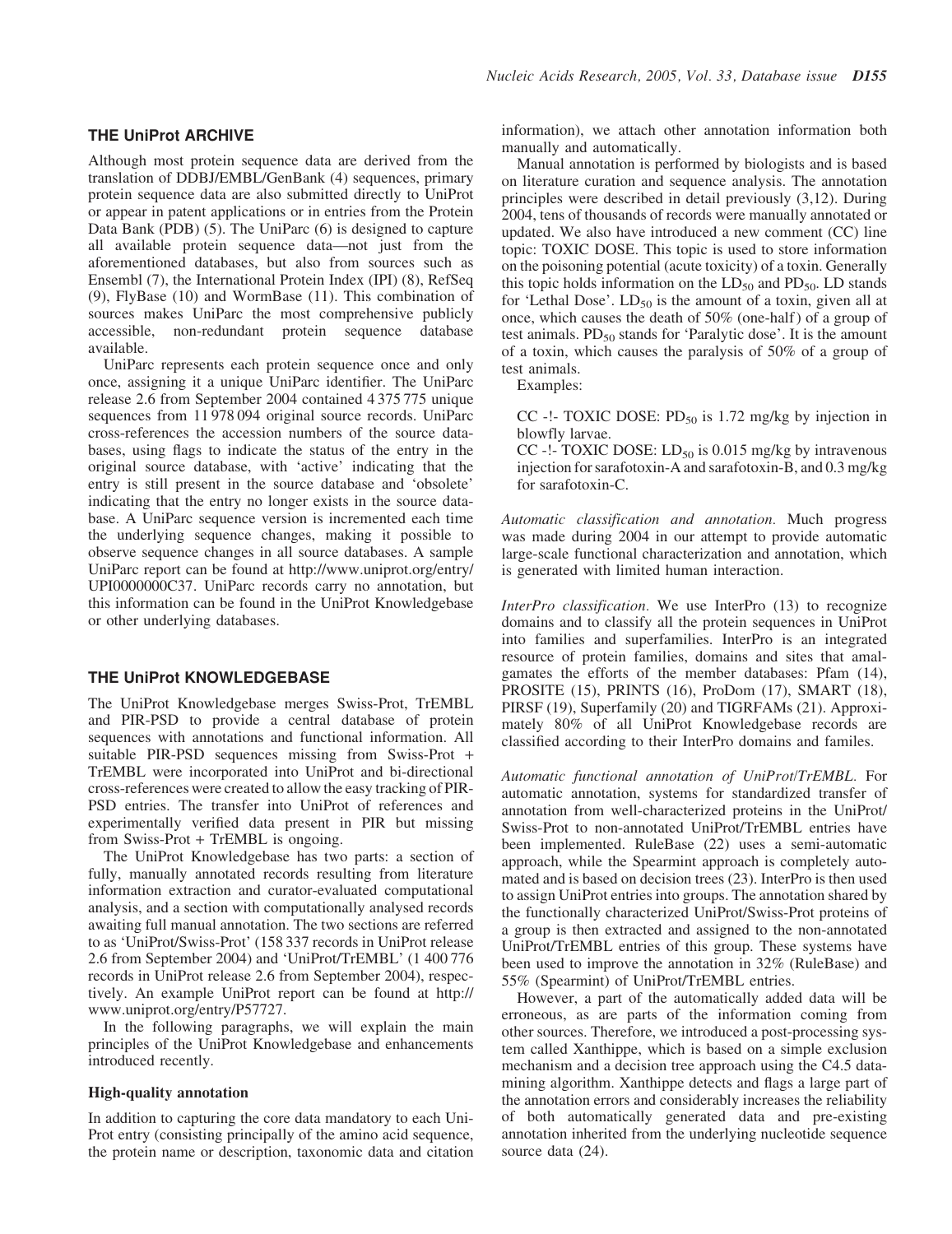## THE UniProt ARCHIVE

Although most protein sequence data are derived from the translation of DDBJ/EMBL/GenBank (4) sequences, primary protein sequence data are also submitted directly to UniProt or appear in patent applications or in entries from the Protein Data Bank (PDB) (5). The UniParc (6) is designed to capture all available protein sequence data—not just from the aforementioned databases, but also from sources such as Ensembl (7), the International Protein Index (IPI) (8), RefSeq (9), FlyBase (10) and WormBase (11). This combination of sources makes UniParc the most comprehensive publicly accessible, non-redundant protein sequence database available.

UniParc represents each protein sequence once and only once, assigning it a unique UniParc identifier. The UniParc release 2.6 from September 2004 contained 4 375 775 unique sequences from 11 978 094 original source records. UniParc cross-references the accession numbers of the source databases, using flags to indicate the status of the entry in the original source database, with 'active' indicating that the entry is still present in the source database and 'obsolete' indicating that the entry no longer exists in the source database. A UniParc sequence version is incremented each time the underlying sequence changes, making it possible to observe sequence changes in all source databases. A sample UniParc report can be found at<http://www.uniprot.org/entry/> UPI0000000C37. UniParc records carry no annotation, but this information can be found in the UniProt Knowledgebase or other underlying databases.

## THE UniProt KNOWLEDGEBASE

The UniProt Knowledgebase merges Swiss-Prot, TrEMBL and PIR-PSD to provide a central database of protein sequences with annotations and functional information. All suitable PIR-PSD sequences missing from Swiss-Prot + TrEMBL were incorporated into UniProt and bi-directional cross-references were created to allow the easy tracking of PIR-PSD entries. The transfer into UniProt of references and experimentally verified data present in PIR but missing from Swiss-Prot + TrEMBL is ongoing.

The UniProt Knowledgebase has two parts: a section of fully, manually annotated records resulting from literature information extraction and curator-evaluated computational analysis, and a section with computationally analysed records awaiting full manual annotation. The two sections are referred to as 'UniProt/Swiss-Prot' (158 337 records in UniProt release 2.6 from September 2004) and 'UniProt/TrEMBL' (1 400 776 records in UniProt release 2.6 from September 2004), respectively. An example UniProt report can be found at<http://> www.uniprot.org/entry/P57727.

In the following paragraphs, we will explain the main principles of the UniProt Knowledgebase and enhancements introduced recently.

#### High-quality annotation

In addition to capturing the core data mandatory to each Uni-Prot entry (consisting principally of the amino acid sequence, the protein name or description, taxonomic data and citation information), we attach other annotation information both manually and automatically.

Manual annotation is performed by biologists and is based on literature curation and sequence analysis. The annotation principles were described in detail previously (3,12). During 2004, tens of thousands of records were manually annotated or updated. We also have introduced a new comment (CC) line topic: TOXIC DOSE. This topic is used to store information on the poisoning potential (acute toxicity) of a toxin. Generally this topic holds information on the  $LD_{50}$  and  $PD_{50}$ . LD stands for 'Lethal Dose'.  $LD_{50}$  is the amount of a toxin, given all at once, which causes the death of 50% (one-half) of a group of test animals.  $PD_{50}$  stands for 'Paralytic dose'. It is the amount of a toxin, which causes the paralysis of 50% of a group of test animals.

Examples:

CC -!- TOXIC DOSE:  $PD_{50}$  is 1.72 mg/kg by injection in blowfly larvae.

CC -!- TOXIC DOSE:  $LD_{50}$  is 0.015 mg/kg by intravenous injection for sarafotoxin-A and sarafotoxin-B, and 0.3 mg/kg for sarafotoxin-C.

Automatic classification and annotation. Much progress was made during 2004 in our attempt to provide automatic large-scale functional characterization and annotation, which is generated with limited human interaction.

InterPro classification. We use InterPro (13) to recognize domains and to classify all the protein sequences in UniProt into families and superfamilies. InterPro is an integrated resource of protein families, domains and sites that amalgamates the efforts of the member databases: Pfam (14), PROSITE (15), PRINTS (16), ProDom (17), SMART (18), PIRSF (19), Superfamily (20) and TIGRFAMs (21). Approximately 80% of all UniProt Knowledgebase records are classified according to their InterPro domains and familes.

Automatic functional annotation of UniProt/TrEMBL. For automatic annotation, systems for standardized transfer of annotation from well-characterized proteins in the UniProt/ Swiss-Prot to non-annotated UniProt/TrEMBL entries have been implemented. RuleBase (22) uses a semi-automatic approach, while the Spearmint approach is completely automated and is based on decision trees (23). InterPro is then used to assign UniProt entries into groups. The annotation shared by the functionally characterized UniProt/Swiss-Prot proteins of a group is then extracted and assigned to the non-annotated UniProt/TrEMBL entries of this group. These systems have been used to improve the annotation in 32% (RuleBase) and 55% (Spearmint) of UniProt/TrEMBL entries.

However, a part of the automatically added data will be erroneous, as are parts of the information coming from other sources. Therefore, we introduced a post-processing system called Xanthippe, which is based on a simple exclusion mechanism and a decision tree approach using the C4.5 datamining algorithm. Xanthippe detects and flags a large part of the annotation errors and considerably increases the reliability of both automatically generated data and pre-existing annotation inherited from the underlying nucleotide sequence source data (24).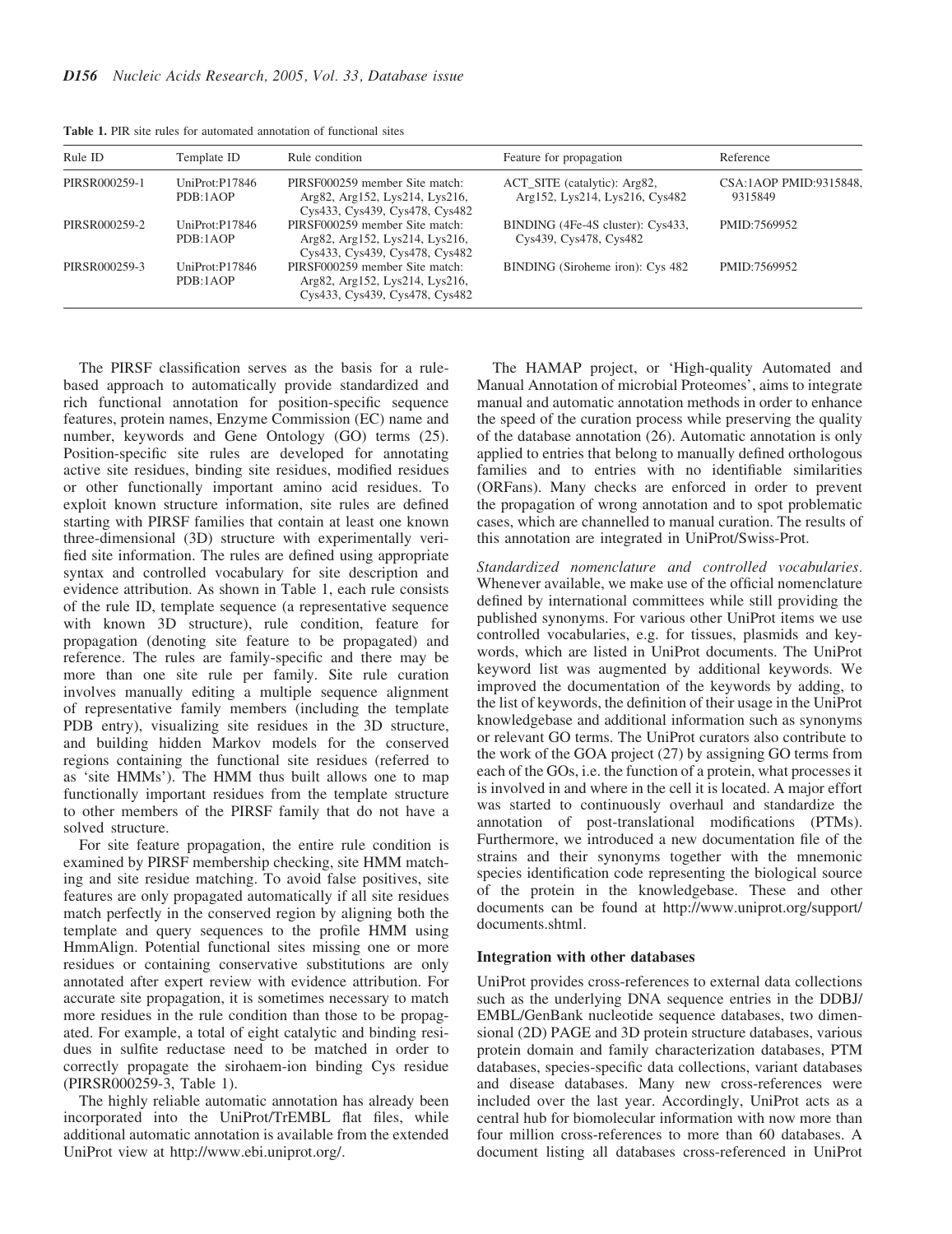Table 1. PIR site rules for automated annotation of functional sites

| Rule ID       | Template ID                | Rule condition                                                                                     | Feature for propagation                                        | Reference                         |
|---------------|----------------------------|----------------------------------------------------------------------------------------------------|----------------------------------------------------------------|-----------------------------------|
| PIRSR000259-1 | UniProt:P17846<br>PDB:1AOP | PIRSF000259 member Site match:<br>Arg82, Arg152, Lys214, Lys216,<br>Cys433, Cys439, Cys478, Cys482 | ACT SITE (catalytic): Arg82,<br>Arg152, Lys214, Lys216, Cys482 | CSA:1AOP PMID:9315848,<br>9315849 |
| PIRSR000259-2 | UniProt:P17846<br>PDB:1AOP | PIRSF000259 member Site match:<br>Arg82, Arg152, Lys214, Lys216,<br>Cys433, Cys439, Cys478, Cys482 | BINDING (4Fe-4S cluster): Cys433,<br>Cys439, Cys478, Cys482    | PMID:7569952                      |
| PIRSR000259-3 | UniProt:P17846<br>PDB:1AOP | PIRSF000259 member Site match:<br>Arg82, Arg152, Lys214, Lys216,<br>Cys433, Cys439, Cys478, Cys482 | BINDING (Siroheme iron): Cys 482                               | PMID:7569952                      |

The PIRSF classification serves as the basis for a rulebased approach to automatically provide standardized and rich functional annotation for position-specific sequence features, protein names, Enzyme Commission (EC) name and number, keywords and Gene Ontology (GO) terms (25). Position-specific site rules are developed for annotating active site residues, binding site residues, modified residues or other functionally important amino acid residues. To exploit known structure information, site rules are defined starting with PIRSF families that contain at least one known three-dimensional (3D) structure with experimentally verified site information. The rules are defined using appropriate syntax and controlled vocabulary for site description and evidence attribution. As shown in Table 1, each rule consists of the rule ID, template sequence (a representative sequence with known 3D structure), rule condition, feature for propagation (denoting site feature to be propagated) and reference. The rules are family-specific and there may be more than one site rule per family. Site rule curation involves manually editing a multiple sequence alignment of representative family members (including the template PDB entry), visualizing site residues in the 3D structure, and building hidden Markov models for the conserved regions containing the functional site residues (referred to as 'site HMMs'). The HMM thus built allows one to map functionally important residues from the template structure to other members of the PIRSF family that do not have a solved structure.

For site feature propagation, the entire rule condition is examined by PIRSF membership checking, site HMM matching and site residue matching. To avoid false positives, site features are only propagated automatically if all site residues match perfectly in the conserved region by aligning both the template and query sequences to the profile HMM using HmmAlign. Potential functional sites missing one or more residues or containing conservative substitutions are only annotated after expert review with evidence attribution. For accurate site propagation, it is sometimes necessary to match more residues in the rule condition than those to be propagated. For example, a total of eight catalytic and binding residues in sulfite reductase need to be matched in order to correctly propagate the sirohaem-ion binding Cys residue (PIRSR000259-3, Table 1).

The highly reliable automatic annotation has already been incorporated into the UniProt/TrEMBL flat files, while additional automatic annotation is available from the extended UniProt view at [http://www.ebi.uniprot.org/.](http://www.ebi.uniprot.org/)

The HAMAP project, or 'High-quality Automated and Manual Annotation of microbial Proteomes', aims to integrate manual and automatic annotation methods in order to enhance the speed of the curation process while preserving the quality of the database annotation (26). Automatic annotation is only applied to entries that belong to manually defined orthologous families and to entries with no identifiable similarities (ORFans). Many checks are enforced in order to prevent the propagation of wrong annotation and to spot problematic cases, which are channelled to manual curation. The results of this annotation are integrated in UniProt/Swiss-Prot.

Standardized nomenclature and controlled vocabularies. Whenever available, we make use of the official nomenclature defined by international committees while still providing the published synonyms. For various other UniProt items we use controlled vocabularies, e.g. for tissues, plasmids and keywords, which are listed in UniProt documents. The UniProt keyword list was augmented by additional keywords. We improved the documentation of the keywords by adding, to the list of keywords, the definition of their usage in the UniProt knowledgebase and additional information such as synonyms or relevant GO terms. The UniProt curators also contribute to the work of the GOA project (27) by assigning GO terms from each of the GOs, i.e. the function of a protein, what processes it is involved in and where in the cell it is located. A major effort was started to continuously overhaul and standardize the annotation of post-translational modifications (PTMs). Furthermore, we introduced a new documentation file of the strains and their synonyms together with the mnemonic species identification code representing the biological source of the protein in the knowledgebase. These and other documents can be found at<http://www.uniprot.org/support/> documents.shtml.

#### Integration with other databases

UniProt provides cross-references to external data collections such as the underlying DNA sequence entries in the DDBJ/ EMBL/GenBank nucleotide sequence databases, two dimensional (2D) PAGE and 3D protein structure databases, various protein domain and family characterization databases, PTM databases, species-specific data collections, variant databases and disease databases. Many new cross-references were included over the last year. Accordingly, UniProt acts as a central hub for biomolecular information with now more than four million cross-references to more than 60 databases. A document listing all databases cross-referenced in UniProt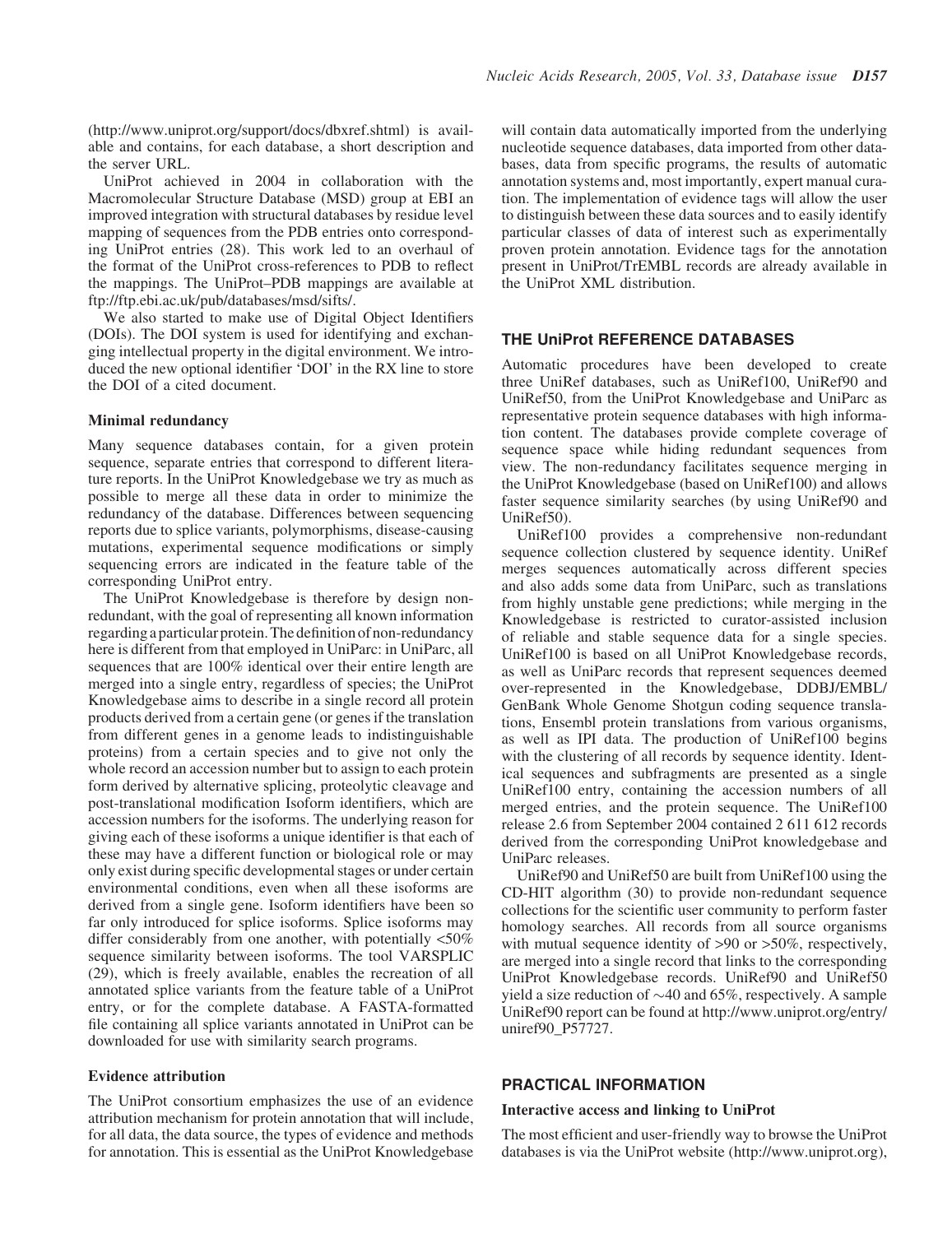[\(http://www.uniprot.org/support/docs/dbxref.shtml\)](http://www.uniprot.org/support/docs/dbxref.shtml) is available and contains, for each database, a short description and the server URL.

UniProt achieved in 2004 in collaboration with the Macromolecular Structure Database (MSD) group at EBI an improved integration with structural databases by residue level mapping of sequences from the PDB entries onto corresponding UniProt entries (28). This work led to an overhaul of the format of the UniProt cross-references to PDB to reflect the mappings. The UniProt–PDB mappings are available at [ftp://ftp.ebi.ac.uk/pub/databases/msd/sifts/.](ftp://ftp.ebi.ac.uk/pub/databases/msd/sifts/)

We also started to make use of Digital Object Identifiers (DOIs). The DOI system is used for identifying and exchanging intellectual property in the digital environment. We introduced the new optional identifier 'DOI' in the RX line to store the DOI of a cited document.

## Minimal redundancy

Many sequence databases contain, for a given protein sequence, separate entries that correspond to different literature reports. In the UniProt Knowledgebase we try as much as possible to merge all these data in order to minimize the redundancy of the database. Differences between sequencing reports due to splice variants, polymorphisms, disease-causing mutations, experimental sequence modifications or simply sequencing errors are indicated in the feature table of the corresponding UniProt entry.

The UniProt Knowledgebase is therefore by design nonredundant, with the goal of representing all known information regarding a particular protein. The definition of non-redundancy here is different from that employed in UniParc: in UniParc, all sequences that are 100% identical over their entire length are merged into a single entry, regardless of species; the UniProt Knowledgebase aims to describe in a single record all protein products derived from a certain gene (or genes if the translation from different genes in a genome leads to indistinguishable proteins) from a certain species and to give not only the whole record an accession number but to assign to each protein form derived by alternative splicing, proteolytic cleavage and post-translational modification Isoform identifiers, which are accession numbers for the isoforms. The underlying reason for giving each of these isoforms a unique identifier is that each of these may have a different function or biological role or may only exist during specific developmental stages or under certain environmental conditions, even when all these isoforms are derived from a single gene. Isoform identifiers have been so far only introduced for splice isoforms. Splice isoforms may differ considerably from one another, with potentially <50% sequence similarity between isoforms. The tool VARSPLIC (29), which is freely available, enables the recreation of all annotated splice variants from the feature table of a UniProt entry, or for the complete database. A FASTA-formatted file containing all splice variants annotated in UniProt can be downloaded for use with similarity search programs.

#### Evidence attribution

The UniProt consortium emphasizes the use of an evidence attribution mechanism for protein annotation that will include, for all data, the data source, the types of evidence and methods for annotation. This is essential as the UniProt Knowledgebase will contain data automatically imported from the underlying nucleotide sequence databases, data imported from other databases, data from specific programs, the results of automatic annotation systems and, most importantly, expert manual curation. The implementation of evidence tags will allow the user to distinguish between these data sources and to easily identify particular classes of data of interest such as experimentally proven protein annotation. Evidence tags for the annotation present in UniProt/TrEMBL records are already available in the UniProt XML distribution.

## THE UniProt REFERENCE DATABASES

Automatic procedures have been developed to create three UniRef databases, such as UniRef100, UniRef90 and UniRef50, from the UniProt Knowledgebase and UniParc as representative protein sequence databases with high information content. The databases provide complete coverage of sequence space while hiding redundant sequences from view. The non-redundancy facilitates sequence merging in the UniProt Knowledgebase (based on UniRef100) and allows faster sequence similarity searches (by using UniRef90 and UniRef50).

UniRef100 provides a comprehensive non-redundant sequence collection clustered by sequence identity. UniRef merges sequences automatically across different species and also adds some data from UniParc, such as translations from highly unstable gene predictions; while merging in the Knowledgebase is restricted to curator-assisted inclusion of reliable and stable sequence data for a single species. UniRef100 is based on all UniProt Knowledgebase records, as well as UniParc records that represent sequences deemed over-represented in the Knowledgebase, DDBJ/EMBL/ GenBank Whole Genome Shotgun coding sequence translations, Ensembl protein translations from various organisms, as well as IPI data. The production of UniRef100 begins with the clustering of all records by sequence identity. Identical sequences and subfragments are presented as a single UniRef100 entry, containing the accession numbers of all merged entries, and the protein sequence. The UniRef100 release 2.6 from September 2004 contained 2 611 612 records derived from the corresponding UniProt knowledgebase and UniParc releases.

UniRef90 and UniRef50 are built from UniRef100 using the CD-HIT algorithm (30) to provide non-redundant sequence collections for the scientific user community to perform faster homology searches. All records from all source organisms with mutual sequence identity of >90 or >50%, respectively, are merged into a single record that links to the corresponding UniProt Knowledgebase records. UniRef90 and UniRef50 yield a size reduction of  $\sim$ 40 and 65%, respectively. A sample UniRef90 report can be found at<http://www.uniprot.org/entry/> uniref90 P57727.

## PRACTICAL INFORMATION

## Interactive access and linking to UniProt

The most efficient and user-friendly way to browse the UniProt databases is via the UniProt website [\(http://www.uniprot.org](http://www.uniprot.org)),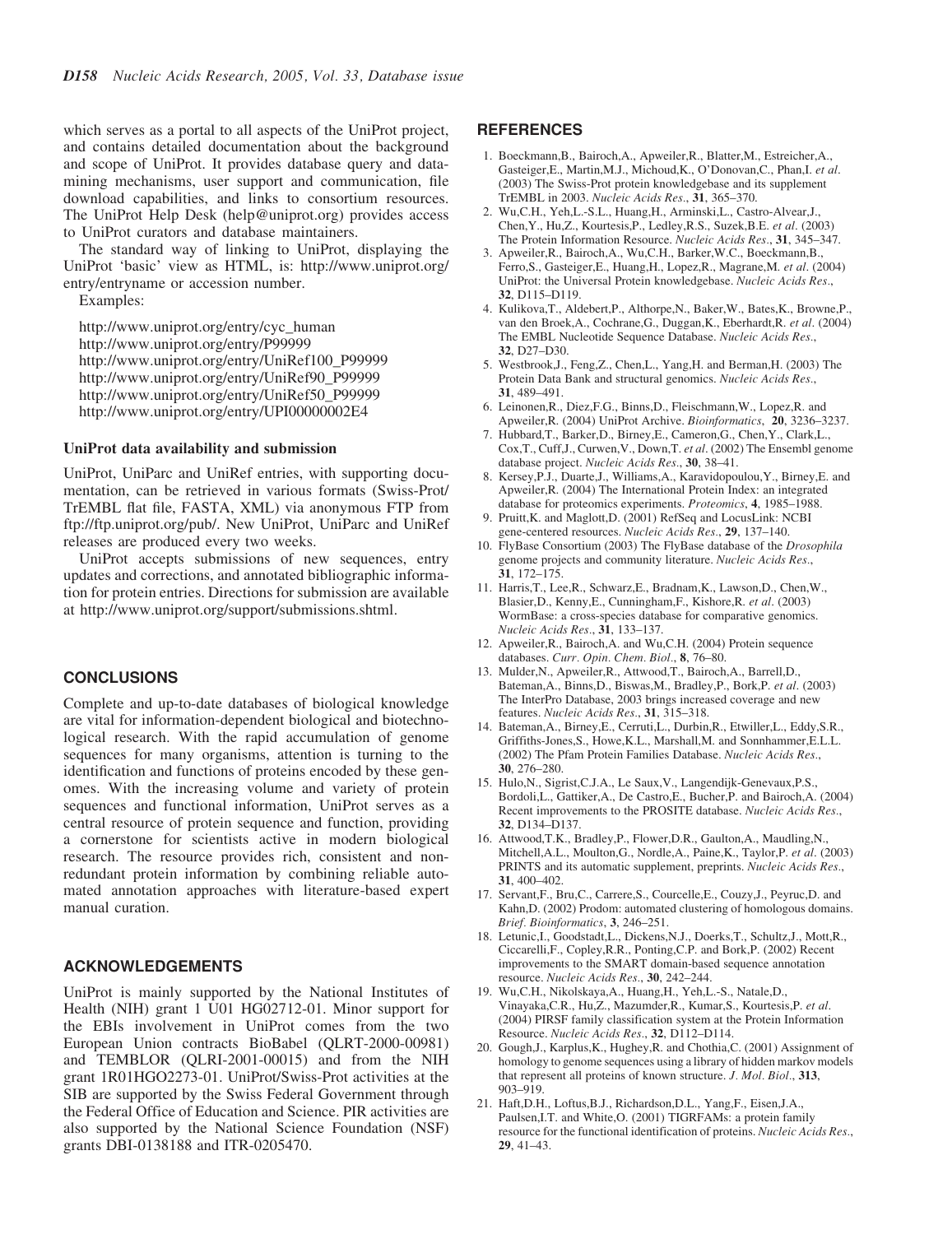which serves as a portal to all aspects of the UniProt project, and contains detailed documentation about the background and scope of UniProt. It provides database query and datamining mechanisms, user support and communication, file download capabilities, and links to consortium resources. The UniProt Help Desk (help@uniprot.org) provides access to UniProt curators and database maintainers.

The standard way of linking to UniProt, displaying the UniProt 'basic' view as HTML, is:<http://www.uniprot.org/> entry/entryname or accession number.

Examples:

[http://www.uniprot.org/entry/cyc\\_human](http://www.uniprot.org/entry/cyc_human) <http://www.uniprot.org/entry/P99999> [http://www.uniprot.org/entry/UniRef100\\_P99999](http://www.uniprot.org/entry/UniRef100_P99999) [http://www.uniprot.org/entry/UniRef90\\_P99999](http://www.uniprot.org/entry/UniRef90_P99999) [http://www.uniprot.org/entry/UniRef50\\_P99999](http://www.uniprot.org/entry/UniRef50_P99999) <http://www.uniprot.org/entry/UPI00000002E4>

## UniProt data availability and submission

UniProt, UniParc and UniRef entries, with supporting documentation, can be retrieved in various formats (Swiss-Prot/ TrEMBL flat file, FASTA, XML) via anonymous FTP from [ftp://ftp.uniprot.org/pub/.](ftp://ftp.uniprot.org/pub/) New UniProt, UniParc and UniRef releases are produced every two weeks.

UniProt accepts submissions of new sequences, entry updates and corrections, and annotated bibliographic information for protein entries. Directions for submission are available at [http://www.uniprot.org/support/submissions.shtml.](http://www.uniprot.org/support/submissions.shtml)

## **CONCLUSIONS**

Complete and up-to-date databases of biological knowledge are vital for information-dependent biological and biotechnological research. With the rapid accumulation of genome sequences for many organisms, attention is turning to the identification and functions of proteins encoded by these genomes. With the increasing volume and variety of protein sequences and functional information, UniProt serves as a central resource of protein sequence and function, providing a cornerstone for scientists active in modern biological research. The resource provides rich, consistent and nonredundant protein information by combining reliable automated annotation approaches with literature-based expert manual curation.

## ACKNOWLEDGEMENTS

UniProt is mainly supported by the National Institutes of Health (NIH) grant 1 U01 HG02712-01. Minor support for the EBIs involvement in UniProt comes from the two European Union contracts BioBabel (QLRT-2000-00981) and TEMBLOR (QLRI-2001-00015) and from the NIH grant 1R01HGO2273-01. UniProt/Swiss-Prot activities at the SIB are supported by the Swiss Federal Government through the Federal Office of Education and Science. PIR activities are also supported by the National Science Foundation (NSF) grants DBI-0138188 and ITR-0205470.

## **REFERENCES**

- 1. Boeckmann,B., Bairoch,A., Apweiler,R., Blatter,M., Estreicher,A., Gasteiger,E., Martin,M.J., Michoud,K., O'Donovan,C., Phan,I. et al. (2003) The Swiss-Prot protein knowledgebase and its supplement TrEMBL in 2003. Nucleic Acids Res., 31, 365–370.
- 2. Wu,C.H., Yeh,L.-S.L., Huang,H., Arminski,L., Castro-Alvear,J., Chen,Y., Hu,Z., Kourtesis,P., Ledley,R.S., Suzek,B.E. et al. (2003) The Protein Information Resource. Nucleic Acids Res., 31, 345-347.
- 3. Apweiler,R., Bairoch,A., Wu,C.H., Barker,W.C., Boeckmann,B., Ferro,S., Gasteiger,E., Huang,H., Lopez,R., Magrane,M. et al. (2004) UniProt: the Universal Protein knowledgebase. Nucleic Acids Res., 32, D115–D119.
- 4. Kulikova,T., Aldebert,P., Althorpe,N., Baker,W., Bates,K., Browne,P., van den Broek,A., Cochrane,G., Duggan,K., Eberhardt,R. et al. (2004) The EMBL Nucleotide Sequence Database. Nucleic Acids Res., 32, D27–D30.
- 5. Westbrook,J., Feng,Z., Chen,L., Yang,H. and Berman,H. (2003) The Protein Data Bank and structural genomics. Nucleic Acids Res., 31, 489–491.
- 6. Leinonen,R., Diez,F.G., Binns,D., Fleischmann,W., Lopez,R. and Apweiler, R. (2004) UniProt Archive. Bioinformatics, 20, 3236–3237.
- 7. Hubbard,T., Barker,D., Birney,E., Cameron,G., Chen,Y., Clark,L., Cox,T., Cuff,J., Curwen,V., Down,T. et al. (2002) The Ensembl genome database project. Nucleic Acids Res., 30, 38–41.
- 8. Kersey,P.J., Duarte,J., Williams,A., Karavidopoulou,Y., Birney,E. and Apweiler,R. (2004) The International Protein Index: an integrated database for proteomics experiments. Proteomics, 4, 1985–1988.
- 9. Pruitt,K. and Maglott,D. (2001) RefSeq and LocusLink: NCBI gene-centered resources. Nucleic Acids Res., 29, 137–140.
- 10. FlyBase Consortium (2003) The FlyBase database of the Drosophila genome projects and community literature. Nucleic Acids Res., 31, 172–175.
- 11. Harris,T., Lee,R., Schwarz,E., Bradnam,K., Lawson,D., Chen,W., Blasier,D., Kenny,E., Cunningham,F., Kishore,R. et al. (2003) WormBase: a cross-species database for comparative genomics. Nucleic Acids Res., 31, 133–137.
- 12. Apweiler,R., Bairoch,A. and Wu,C.H. (2004) Protein sequence databases. Curr. Opin. Chem. Biol., 8, 76-80.
- 13. Mulder,N., Apweiler,R., Attwood,T., Bairoch,A., Barrell,D., Bateman,A., Binns,D., Biswas,M., Bradley,P., Bork,P. et al. (2003) The InterPro Database, 2003 brings increased coverage and new features. Nucleic Acids Res., 31, 315–318.
- 14. Bateman,A., Birney,E., Cerruti,L., Durbin,R., Etwiller,L., Eddy,S.R., Griffiths-Jones,S., Howe,K.L., Marshall,M. and Sonnhammer,E.L.L. (2002) The Pfam Protein Families Database. Nucleic Acids Res., 30, 276–280.
- 15. Hulo,N., Sigrist,C.J.A., Le Saux,V., Langendijk-Genevaux,P.S., Bordoli,L., Gattiker,A., De Castro,E., Bucher,P. and Bairoch,A. (2004) Recent improvements to the PROSITE database. Nucleic Acids Res., 32, D134–D137.
- 16. Attwood,T.K., Bradley,P., Flower,D.R., Gaulton,A., Maudling,N., Mitchell,A.L., Moulton,G., Nordle,A., Paine,K., Taylor,P. et al. (2003) PRINTS and its automatic supplement, preprints. Nucleic Acids Res., 31, 400–402.
- 17. Servant,F., Bru,C., Carrere,S., Courcelle,E., Couzy,J., Peyruc,D. and Kahn,D. (2002) Prodom: automated clustering of homologous domains. Brief. Bioinformatics, 3, 246–251.
- 18. Letunic,I., Goodstadt,L., Dickens,N.J., Doerks,T., Schultz,J., Mott,R., Ciccarelli,F., Copley,R.R., Ponting,C.P. and Bork,P. (2002) Recent improvements to the SMART domain-based sequence annotation resource. Nucleic Acids Res., 30, 242–244.
- 19. Wu,C.H., Nikolskaya,A., Huang,H., Yeh,L.-S., Natale,D., Vinayaka,C.R., Hu,Z., Mazumder,R., Kumar,S., Kourtesis,P. et al. (2004) PIRSF family classification system at the Protein Information Resource. Nucleic Acids Res., 32, D112–D114.
- 20. Gough,J., Karplus,K., Hughey,R. and Chothia,C. (2001) Assignment of homology to genome sequences using a library of hidden markov models that represent all proteins of known structure. J. Mol. Biol., 313, 903–919.
- 21. Haft,D.H., Loftus,B.J., Richardson,D.L., Yang,F., Eisen,J.A., Paulsen,I.T. and White,O. (2001) TIGRFAMs: a protein family resource for the functional identification of proteins. Nucleic Acids Res., 29, 41–43.